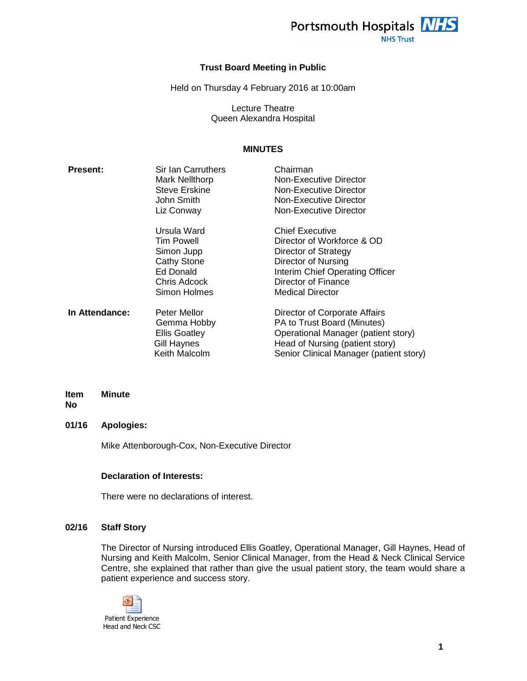

**NHS Trust** 

## **Trust Board Meeting in Public**

Held on Thursday 4 February 2016 at 10:00am

Lecture Theatre Queen Alexandra Hospital

# **MINUTES**

| <b>Present:</b> | Sir Ian Carruthers<br><b>Mark Nellthorp</b><br><b>Steve Erskine</b><br>John Smith<br>Liz Conway                   | Chairman<br>Non-Executive Director<br>Non-Executive Director<br>Non-Executive Director<br>Non-Executive Director                                                                         |
|-----------------|-------------------------------------------------------------------------------------------------------------------|------------------------------------------------------------------------------------------------------------------------------------------------------------------------------------------|
|                 | Ursula Ward<br><b>Tim Powell</b><br>Simon Jupp<br><b>Cathy Stone</b><br>Ed Donald<br>Chris Adcock<br>Simon Holmes | <b>Chief Executive</b><br>Director of Workforce & OD<br>Director of Strategy<br>Director of Nursing<br>Interim Chief Operating Officer<br>Director of Finance<br><b>Medical Director</b> |
| In Attendance:  | Peter Mellor<br>Gemma Hobby<br><b>Ellis Goatley</b><br>Gill Haynes<br>Keith Malcolm                               | Director of Corporate Affairs<br>PA to Trust Board (Minutes)<br>Operational Manager (patient story)<br>Head of Nursing (patient story)<br>Senior Clinical Manager (patient story)        |

#### **Item Minute**

**No** 

# **01/16 Apologies:**

Mike Attenborough-Cox, Non-Executive Director

## **Declaration of Interests:**

There were no declarations of interest.

## **02/16 Staff Story**

The Director of Nursing introduced Ellis Goatley, Operational Manager, Gill Haynes, Head of Nursing and Keith Malcolm, Senior Clinical Manager, from the Head & Neck Clinical Service Centre, she explained that rather than give the usual patient story, the team would share a patient experience and success story.

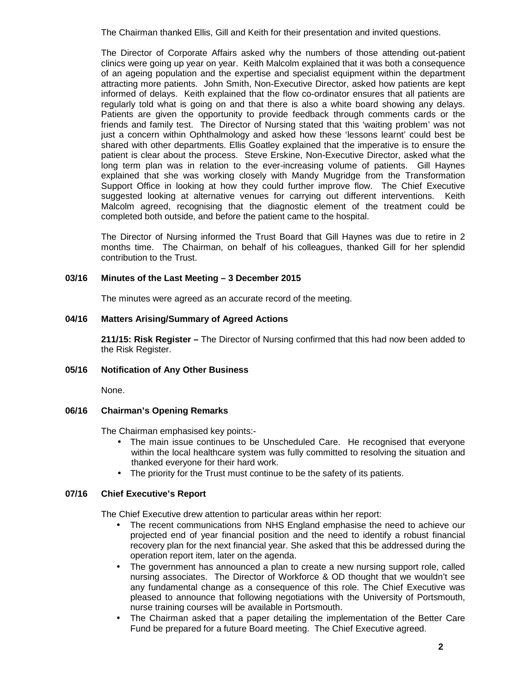The Chairman thanked Ellis, Gill and Keith for their presentation and invited questions.

The Director of Corporate Affairs asked why the numbers of those attending out-patient clinics were going up year on year. Keith Malcolm explained that it was both a consequence of an ageing population and the expertise and specialist equipment within the department attracting more patients. John Smith, Non-Executive Director, asked how patients are kept informed of delays. Keith explained that the flow co-ordinator ensures that all patients are regularly told what is going on and that there is also a white board showing any delays. Patients are given the opportunity to provide feedback through comments cards or the friends and family test. The Director of Nursing stated that this 'waiting problem' was not just a concern within Ophthalmology and asked how these 'lessons learnt' could best be shared with other departments. Ellis Goatley explained that the imperative is to ensure the patient is clear about the process. Steve Erskine, Non-Executive Director, asked what the long term plan was in relation to the ever-increasing volume of patients. Gill Haynes explained that she was working closely with Mandy Mugridge from the Transformation Support Office in looking at how they could further improve flow. The Chief Executive suggested looking at alternative venues for carrying out different interventions. Keith Malcolm agreed, recognising that the diagnostic element of the treatment could be completed both outside, and before the patient came to the hospital.

The Director of Nursing informed the Trust Board that Gill Haynes was due to retire in 2 months time. The Chairman, on behalf of his colleagues, thanked Gill for her splendid contribution to the Trust.

# **03/16 Minutes of the Last Meeting – 3 December 2015**

The minutes were agreed as an accurate record of the meeting.

# **04/16 Matters Arising/Summary of Agreed Actions**

**211/15: Risk Register –** The Director of Nursing confirmed that this had now been added to the Risk Register.

## **05/16 Notification of Any Other Business**

None.

# **06/16 Chairman's Opening Remarks**

The Chairman emphasised key points:-

- The main issue continues to be Unscheduled Care. He recognised that everyone within the local healthcare system was fully committed to resolving the situation and thanked everyone for their hard work.
- The priority for the Trust must continue to be the safety of its patients.

# **07/16 Chief Executive's Report**

The Chief Executive drew attention to particular areas within her report:

- The recent communications from NHS England emphasise the need to achieve our projected end of year financial position and the need to identify a robust financial recovery plan for the next financial year. She asked that this be addressed during the operation report item, later on the agenda.
- The government has announced a plan to create a new nursing support role, called nursing associates. The Director of Workforce & OD thought that we wouldn't see any fundamental change as a consequence of this role. The Chief Executive was pleased to announce that following negotiations with the University of Portsmouth, nurse training courses will be available in Portsmouth.
- The Chairman asked that a paper detailing the implementation of the Better Care Fund be prepared for a future Board meeting. The Chief Executive agreed.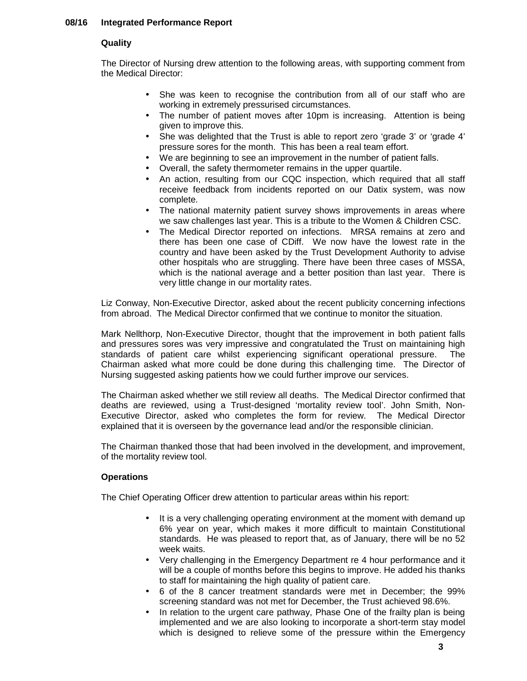# **08/16 Integrated Performance Report**

## **Quality**

The Director of Nursing drew attention to the following areas, with supporting comment from the Medical Director:

- She was keen to recognise the contribution from all of our staff who are working in extremely pressurised circumstances.
- The number of patient moves after 10pm is increasing. Attention is being given to improve this.
- She was delighted that the Trust is able to report zero 'grade 3' or 'grade 4' pressure sores for the month. This has been a real team effort.
- We are beginning to see an improvement in the number of patient falls.
- Overall, the safety thermometer remains in the upper quartile.
- An action, resulting from our CQC inspection, which required that all staff receive feedback from incidents reported on our Datix system, was now complete.
- The national maternity patient survey shows improvements in areas where we saw challenges last year. This is a tribute to the Women & Children CSC.
- The Medical Director reported on infections. MRSA remains at zero and there has been one case of CDiff. We now have the lowest rate in the country and have been asked by the Trust Development Authority to advise other hospitals who are struggling. There have been three cases of MSSA, which is the national average and a better position than last year. There is very little change in our mortality rates.

Liz Conway, Non-Executive Director, asked about the recent publicity concerning infections from abroad. The Medical Director confirmed that we continue to monitor the situation.

Mark Nellthorp, Non-Executive Director, thought that the improvement in both patient falls and pressures sores was very impressive and congratulated the Trust on maintaining high standards of patient care whilst experiencing significant operational pressure. The Chairman asked what more could be done during this challenging time. The Director of Nursing suggested asking patients how we could further improve our services.

The Chairman asked whether we still review all deaths. The Medical Director confirmed that deaths are reviewed, using a Trust-designed 'mortality review tool'. John Smith, Non-Executive Director, asked who completes the form for review. The Medical Director explained that it is overseen by the governance lead and/or the responsible clinician.

The Chairman thanked those that had been involved in the development, and improvement, of the mortality review tool.

# **Operations**

The Chief Operating Officer drew attention to particular areas within his report:

- It is a very challenging operating environment at the moment with demand up 6% year on year, which makes it more difficult to maintain Constitutional standards. He was pleased to report that, as of January, there will be no 52 week waits.
- Very challenging in the Emergency Department re 4 hour performance and it will be a couple of months before this begins to improve. He added his thanks to staff for maintaining the high quality of patient care.
- 6 of the 8 cancer treatment standards were met in December; the 99% screening standard was not met for December, the Trust achieved 98.6%.
- In relation to the urgent care pathway, Phase One of the frailty plan is being implemented and we are also looking to incorporate a short-term stay model which is designed to relieve some of the pressure within the Emergency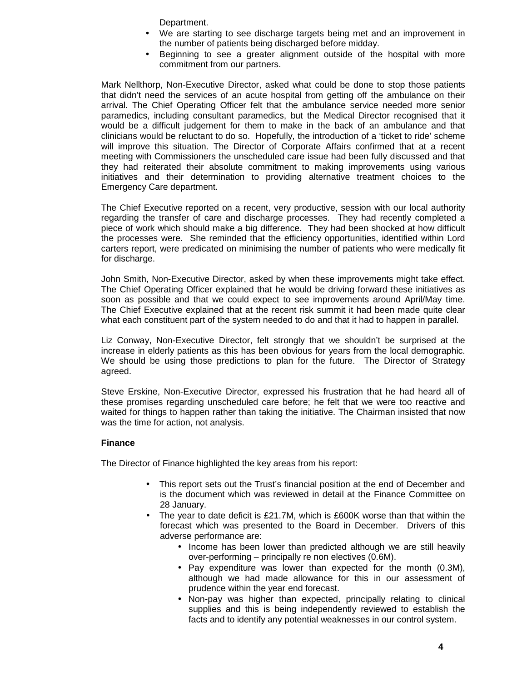Department.

- We are starting to see discharge targets being met and an improvement in the number of patients being discharged before midday.
- Beginning to see a greater alignment outside of the hospital with more commitment from our partners.

Mark Nellthorp, Non-Executive Director, asked what could be done to stop those patients that didn't need the services of an acute hospital from getting off the ambulance on their arrival. The Chief Operating Officer felt that the ambulance service needed more senior paramedics, including consultant paramedics, but the Medical Director recognised that it would be a difficult judgement for them to make in the back of an ambulance and that clinicians would be reluctant to do so. Hopefully, the introduction of a 'ticket to ride' scheme will improve this situation. The Director of Corporate Affairs confirmed that at a recent meeting with Commissioners the unscheduled care issue had been fully discussed and that they had reiterated their absolute commitment to making improvements using various initiatives and their determination to providing alternative treatment choices to the Emergency Care department.

The Chief Executive reported on a recent, very productive, session with our local authority regarding the transfer of care and discharge processes. They had recently completed a piece of work which should make a big difference. They had been shocked at how difficult the processes were. She reminded that the efficiency opportunities, identified within Lord carters report, were predicated on minimising the number of patients who were medically fit for discharge.

John Smith, Non-Executive Director, asked by when these improvements might take effect. The Chief Operating Officer explained that he would be driving forward these initiatives as soon as possible and that we could expect to see improvements around April/May time. The Chief Executive explained that at the recent risk summit it had been made quite clear what each constituent part of the system needed to do and that it had to happen in parallel.

Liz Conway, Non-Executive Director, felt strongly that we shouldn't be surprised at the increase in elderly patients as this has been obvious for years from the local demographic. We should be using those predictions to plan for the future. The Director of Strategy agreed.

Steve Erskine, Non-Executive Director, expressed his frustration that he had heard all of these promises regarding unscheduled care before; he felt that we were too reactive and waited for things to happen rather than taking the initiative. The Chairman insisted that now was the time for action, not analysis.

# **Finance**

The Director of Finance highlighted the key areas from his report:

- This report sets out the Trust's financial position at the end of December and is the document which was reviewed in detail at the Finance Committee on 28 January.
- The year to date deficit is £21.7M, which is £600K worse than that within the forecast which was presented to the Board in December. Drivers of this adverse performance are:
	- Income has been lower than predicted although we are still heavily over-performing – principally re non electives (0.6M).
	- Pay expenditure was lower than expected for the month (0.3M), although we had made allowance for this in our assessment of prudence within the year end forecast.
	- Non-pay was higher than expected, principally relating to clinical supplies and this is being independently reviewed to establish the facts and to identify any potential weaknesses in our control system.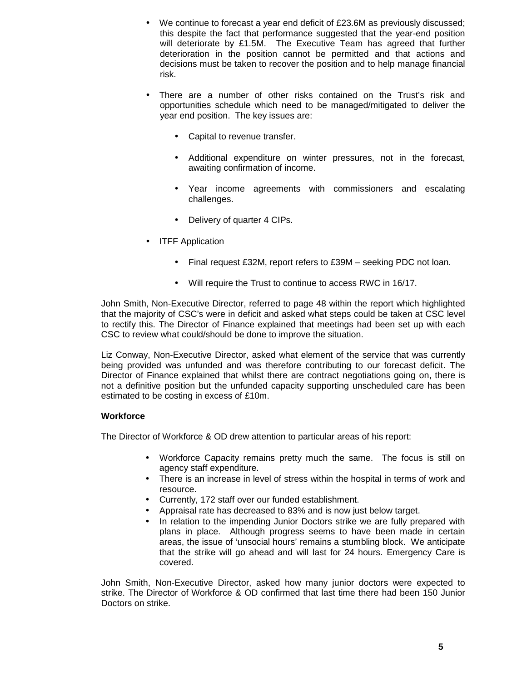- We continue to forecast a year end deficit of £23.6M as previously discussed; this despite the fact that performance suggested that the year-end position will deteriorate by £1.5M. The Executive Team has agreed that further deterioration in the position cannot be permitted and that actions and decisions must be taken to recover the position and to help manage financial risk.
- There are a number of other risks contained on the Trust's risk and opportunities schedule which need to be managed/mitigated to deliver the year end position. The key issues are:
	- Capital to revenue transfer.
	- Additional expenditure on winter pressures, not in the forecast, awaiting confirmation of income.
	- Year income agreements with commissioners and escalating challenges.
	- Delivery of quarter 4 CIPs.
- **ITFF Application** 
	- Final request £32M, report refers to £39M seeking PDC not loan.
	- Will require the Trust to continue to access RWC in 16/17.

John Smith, Non-Executive Director, referred to page 48 within the report which highlighted that the majority of CSC's were in deficit and asked what steps could be taken at CSC level to rectify this. The Director of Finance explained that meetings had been set up with each CSC to review what could/should be done to improve the situation.

Liz Conway, Non-Executive Director, asked what element of the service that was currently being provided was unfunded and was therefore contributing to our forecast deficit. The Director of Finance explained that whilst there are contract negotiations going on, there is not a definitive position but the unfunded capacity supporting unscheduled care has been estimated to be costing in excess of £10m.

# **Workforce**

The Director of Workforce & OD drew attention to particular areas of his report:

- Workforce Capacity remains pretty much the same. The focus is still on agency staff expenditure.
- There is an increase in level of stress within the hospital in terms of work and resource.
- Currently, 172 staff over our funded establishment.
- Appraisal rate has decreased to 83% and is now just below target.
- In relation to the impending Junior Doctors strike we are fully prepared with plans in place. Although progress seems to have been made in certain areas, the issue of 'unsocial hours' remains a stumbling block. We anticipate that the strike will go ahead and will last for 24 hours. Emergency Care is covered.

John Smith, Non-Executive Director, asked how many junior doctors were expected to strike. The Director of Workforce & OD confirmed that last time there had been 150 Junior Doctors on strike.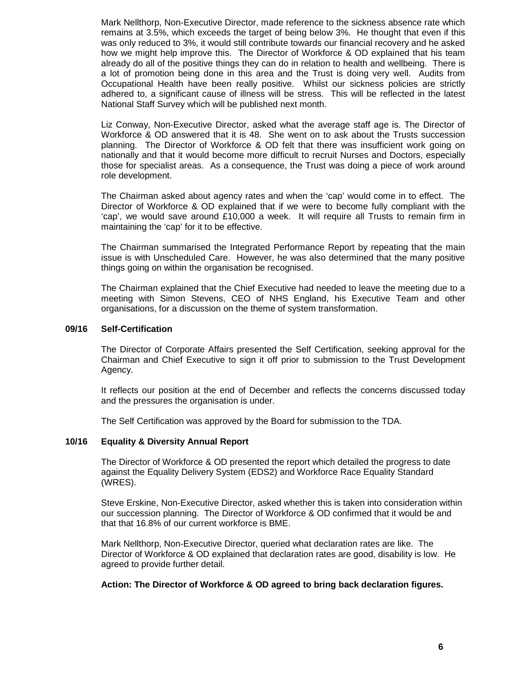Mark Nellthorp, Non-Executive Director, made reference to the sickness absence rate which remains at 3.5%, which exceeds the target of being below 3%. He thought that even if this was only reduced to 3%, it would still contribute towards our financial recovery and he asked how we might help improve this. The Director of Workforce & OD explained that his team already do all of the positive things they can do in relation to health and wellbeing. There is a lot of promotion being done in this area and the Trust is doing very well. Audits from Occupational Health have been really positive. Whilst our sickness policies are strictly adhered to, a significant cause of illness will be stress. This will be reflected in the latest National Staff Survey which will be published next month.

Liz Conway, Non-Executive Director, asked what the average staff age is. The Director of Workforce & OD answered that it is 48. She went on to ask about the Trusts succession planning. The Director of Workforce & OD felt that there was insufficient work going on nationally and that it would become more difficult to recruit Nurses and Doctors, especially those for specialist areas. As a consequence, the Trust was doing a piece of work around role development.

The Chairman asked about agency rates and when the 'cap' would come in to effect. The Director of Workforce & OD explained that if we were to become fully compliant with the 'cap', we would save around £10,000 a week. It will require all Trusts to remain firm in maintaining the 'cap' for it to be effective.

The Chairman summarised the Integrated Performance Report by repeating that the main issue is with Unscheduled Care. However, he was also determined that the many positive things going on within the organisation be recognised.

The Chairman explained that the Chief Executive had needed to leave the meeting due to a meeting with Simon Stevens, CEO of NHS England, his Executive Team and other organisations, for a discussion on the theme of system transformation.

## **09/16 Self-Certification**

The Director of Corporate Affairs presented the Self Certification, seeking approval for the Chairman and Chief Executive to sign it off prior to submission to the Trust Development Agency.

It reflects our position at the end of December and reflects the concerns discussed today and the pressures the organisation is under.

The Self Certification was approved by the Board for submission to the TDA.

#### **10/16 Equality & Diversity Annual Report**

The Director of Workforce & OD presented the report which detailed the progress to date against the Equality Delivery System (EDS2) and Workforce Race Equality Standard (WRES).

Steve Erskine, Non-Executive Director, asked whether this is taken into consideration within our succession planning. The Director of Workforce & OD confirmed that it would be and that that 16.8% of our current workforce is BME.

Mark Nellthorp, Non-Executive Director, queried what declaration rates are like. The Director of Workforce & OD explained that declaration rates are good, disability is low. He agreed to provide further detail.

## **Action: The Director of Workforce & OD agreed to bring back declaration figures.**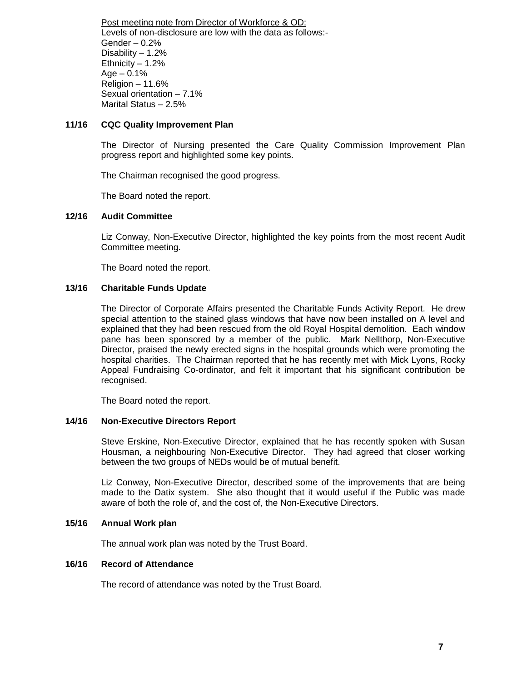Post meeting note from Director of Workforce & OD: Levels of non-disclosure are low with the data as follows:- Gender – 0.2% Disability  $-1.2%$ Ethnicity  $-1.2%$  $Age - 0.1%$ Religion – 11.6% Sexual orientation – 7.1% Marital Status – 2.5%

# **11/16 CQC Quality Improvement Plan**

The Director of Nursing presented the Care Quality Commission Improvement Plan progress report and highlighted some key points.

The Chairman recognised the good progress.

The Board noted the report.

# **12/16 Audit Committee**

Liz Conway, Non-Executive Director, highlighted the key points from the most recent Audit Committee meeting.

The Board noted the report.

# **13/16 Charitable Funds Update**

The Director of Corporate Affairs presented the Charitable Funds Activity Report. He drew special attention to the stained glass windows that have now been installed on A level and explained that they had been rescued from the old Royal Hospital demolition. Each window pane has been sponsored by a member of the public. Mark Nellthorp, Non-Executive Director, praised the newly erected signs in the hospital grounds which were promoting the hospital charities. The Chairman reported that he has recently met with Mick Lyons, Rocky Appeal Fundraising Co-ordinator, and felt it important that his significant contribution be recognised.

The Board noted the report.

# **14/16 Non-Executive Directors Report**

Steve Erskine, Non-Executive Director, explained that he has recently spoken with Susan Housman, a neighbouring Non-Executive Director. They had agreed that closer working between the two groups of NEDs would be of mutual benefit.

Liz Conway, Non-Executive Director, described some of the improvements that are being made to the Datix system. She also thought that it would useful if the Public was made aware of both the role of, and the cost of, the Non-Executive Directors.

## **15/16 Annual Work plan**

The annual work plan was noted by the Trust Board.

# **16/16 Record of Attendance**

The record of attendance was noted by the Trust Board.